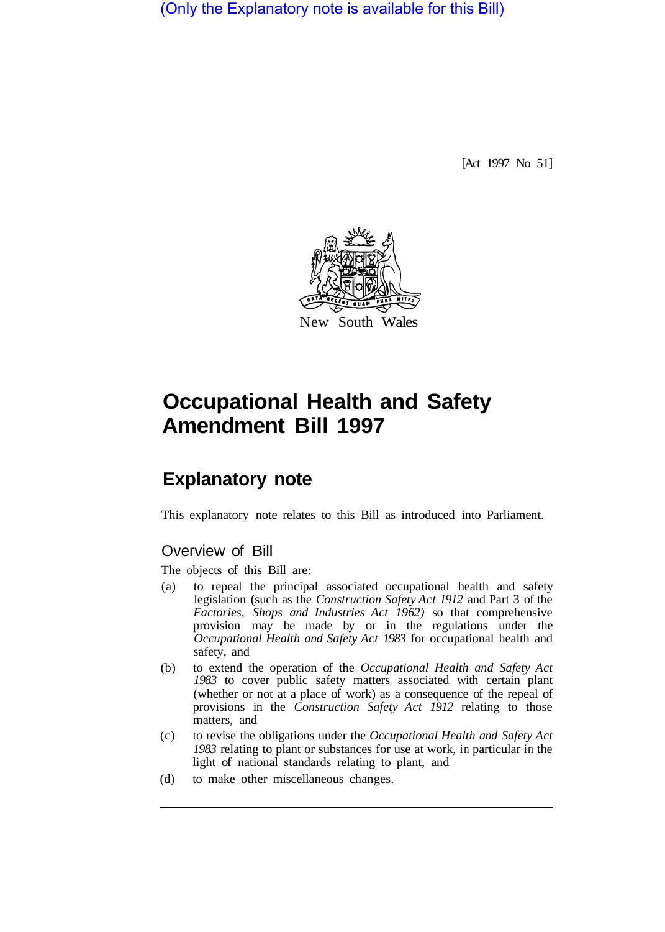(Only the Explanatory note is available for this Bill)

[Act 1997 No 51]



## **Occupational Health and Safety Amendment Bill 1997**

## **Explanatory note**

This explanatory note relates to this Bill as introduced into Parliament.

## Overview of Bill

The objects of this Bill are:

- (a) to repeal the principal associated occupational health and safety legislation (such as the *Construction Safety Act 1912* and Part 3 of the *Factories, Shops and Industries Act 1962)* so that comprehensive provision may be made by or in the regulations under the *Occupational Health and Safety Act 1983* for occupational health and safety, and
- (b) to extend the operation of the *Occupational Health and Safety Act 1983* to cover public safety matters associated with certain plant (whether or not at a place of work) as a consequence of the repeal of provisions in the *Construction Safety Act 1912* relating to those matters, and
- (c) to revise the obligations under the *Occupational Health and Safety Act 1983* relating to plant or substances for use at work, in particular in the light of national standards relating to plant, and
- (d) to make other miscellaneous changes.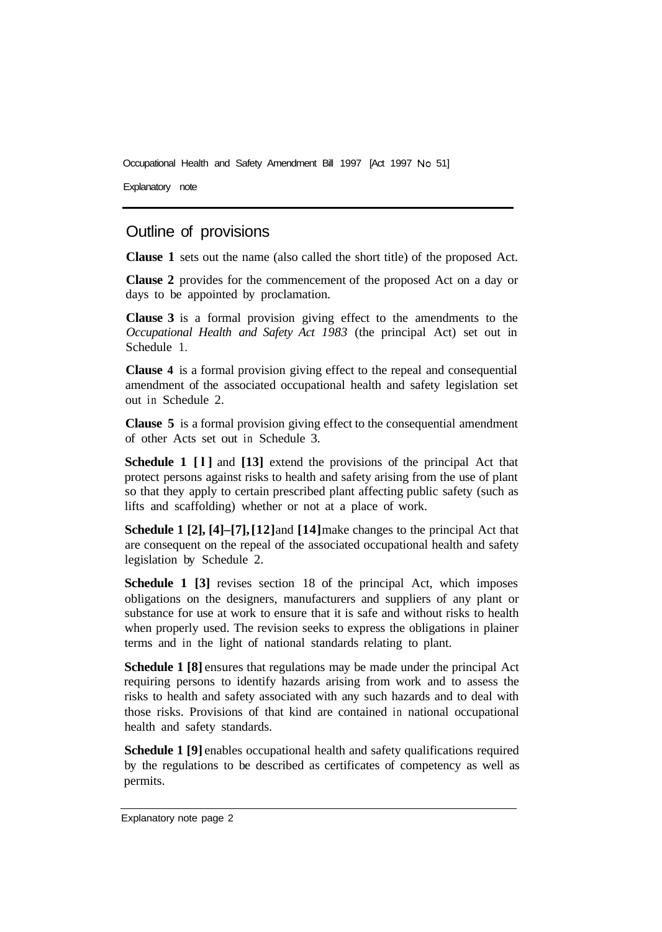Occupational Health and Safety Amendment Bill 1997 [Act 1997 No 51]

Explanatory note

## Outline of provisions

**Clause 1** sets out the name (also called the short title) of the proposed Act.

**Clause 2** provides for the commencement of the proposed Act on a day or days to be appointed by proclamation.

**Clause 3** is a formal provision giving effect to the amendments to the *Occupational Health and Safety Act 1983* (the principal Act) set out in Schedule 1.

**Clause 4** is a formal provision giving effect to the repeal and consequential amendment of the associated occupational health and safety legislation set out in Schedule 2.

**Clause 5** is a formal provision giving effect to the consequential amendment of other Acts set out in Schedule 3.

**Schedule 1 [l]** and **[13]** extend the provisions of the principal Act that protect persons against risks to health and safety arising from the use of plant so that they apply to certain prescribed plant affecting public safety (such as lifts and scaffolding) whether or not at a place of work.

**Schedule 1 [2], [4]–[7], [12]** and **[14]** make changes to the principal Act that are consequent on the repeal of the associated occupational health and safety legislation by Schedule 2.

**Schedule 1 [3]** revises section 18 of the principal Act, which imposes obligations on the designers, manufacturers and suppliers of any plant or substance for use at work to ensure that it is safe and without risks to health when properly used. The revision seeks to express the obligations in plainer terms and in the light of national standards relating to plant.

**Schedule 1 [8]** ensures that regulations may be made under the principal Act requiring persons to identify hazards arising from work and to assess the risks to health and safety associated with any such hazards and to deal with those risks. Provisions of that kind are contained in national occupational health and safety standards.

**Schedule 1 [9]** enables occupational health and safety qualifications required by the regulations to be described as certificates of competency as well as permits.